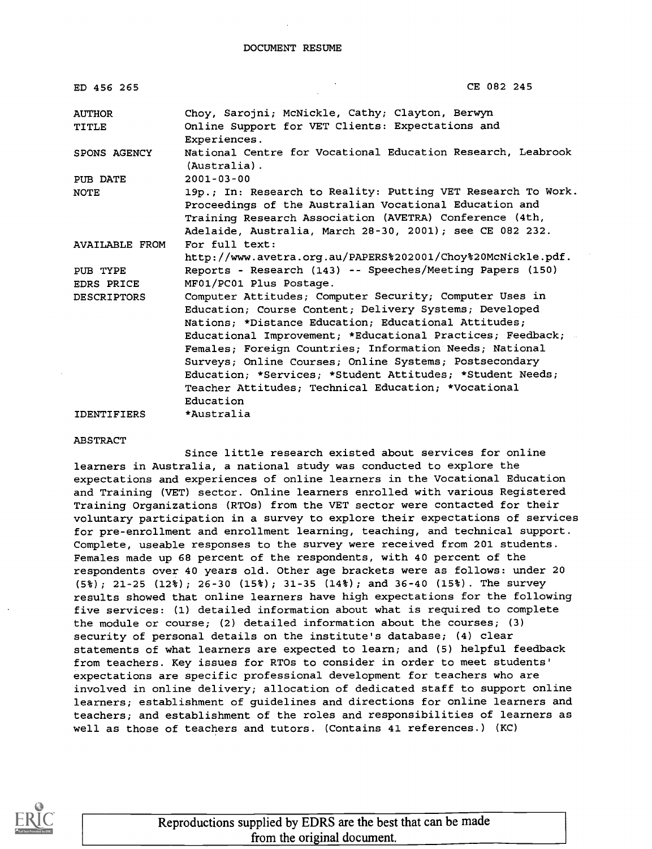| ED 456 265                    | CE 082 245                                                                                          |
|-------------------------------|-----------------------------------------------------------------------------------------------------|
| <b>AUTHOR</b><br><b>TITLE</b> | Choy, Sarojni; McNickle, Cathy; Clayton, Berwyn<br>Online Support for VET Clients: Expectations and |
|                               | Experiences.                                                                                        |
| SPONS AGENCY                  | National Centre for Vocational Education Research, Leabrook<br>(Australia).                         |
| PUB DATE                      | $2001 - 03 - 00$                                                                                    |
| NOTE                          | 19p.; In: Research to Reality: Putting VET Research To Work.                                        |
|                               | Proceedings of the Australian Vocational Education and                                              |
|                               | Training Research Association (AVETRA) Conference (4th,                                             |
|                               | Adelaide, Australia, March 28-30, 2001); see CE 082 232.                                            |
| <b>AVAILABLE FROM</b>         | For full text:                                                                                      |
|                               | http://www.avetra.org.au/PAPERS%202001/Choy%20McNickle.pdf.                                         |
| PUB TYPE                      | Reports - Research (143) -- Speeches/Meeting Papers (150)                                           |
| <b>EDRS PRICE</b>             | MF01/PC01 Plus Postage.                                                                             |
| <b>DESCRIPTORS</b>            | Computer Attitudes; Computer Security; Computer Uses in                                             |
|                               | Education; Course Content; Delivery Systems; Developed                                              |
|                               | Nations; *Distance Education; Educational Attitudes;                                                |
|                               | Educational Improvement; *Educational Practices; Feedback;                                          |
|                               | Females; Foreign Countries; Information Needs; National                                             |
|                               | Surveys; Online Courses; Online Systems; Postsecondary                                              |
|                               | Education; *Services; *Student Attitudes; *Student Needs;                                           |
|                               | Teacher Attitudes: Technical Education: *Vocational                                                 |
|                               | Education                                                                                           |
| <b>IDENTIFIERS</b>            | *Australia                                                                                          |

#### ABSTRACT

Since little research existed about services for online learners in Australia, a national study was conducted to explore the expectations and experiences of online learners in the Vocational Education and Training (VET) sector. Online learners enrolled with various Registered Training Organizations (RT05) from the VET sector were contacted for their voluntary participation in a survey to explore their expectations of services for pre-enrollment and enrollment learning, teaching, and technical support. Complete, useable responses to the survey were received from 201 students. Females made up 68 percent of the respondents, with 40 percent of the respondents over 40 years old. Other age brackets were as follows: under 20 (5%) ; 21-25 (12%) ; 26-30 (15%) ; 31-35 (14%) ; and 36-40 (15%) . The survey results showed that online learners have high expectations for the following five services: (1) detailed information about what is required to complete the module or course; (2) detailed information about the courses; (3) security of personal details on the institute's database; (4) clear statements of what learners are expected to learn; and (5) helpful feedback from teachers. Key issues for RTOs to consider in order to meet students' expectations are specific professional development for teachers who are involved in online delivery; allocation of dedicated staff to support online learners; establishment of guidelines and directions for online learners and teachers; and establishment of the roles and responsibilities of learners as well as those of teachers and tutors. (Contains 41 references.) (KC)



Reproductions supplied by EDRS are the best that can be made from the original document.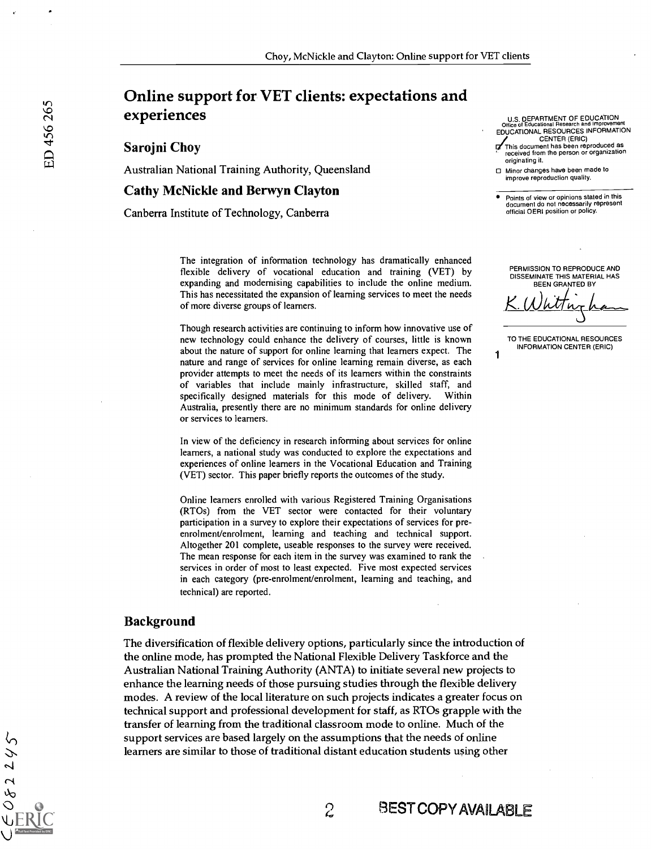# Online support for VET clients: expectations and experiences

Sarojni Choy

Australian National Training Authority, Queensland

#### Cathy McNickle and Berwyn Clayton

Canberra Institute of Technology, Canberra

U.S. DEPARTMENT OF EDUCATION Office of Educational Research and Improvement EDUCATIONAL RESOURCES INFORMATION CENTER (ERIC)

C/This document has been reproduced as received from the person or organization originating it.

0 Minor changes have been made to improve reproduction quality.

Points of view or opinions stated in this document do not necessarily represent official OERI position or policy.

PERMISSION TO REPRODUCE AND DISSEMINATE THIS MATERIAL HAS BEEN GRANTED BY

K. Whitting has

TO THE EDUCATIONAL RESOURCES INFORMATION CENTER (ERIC)

1

The integration of information technology has dramatically enhanced flexible delivery of vocational education and training (VET) by expanding and modernising capabilities to include the online medium. This has necessitated the expansion of learning services to meet the needs of more diverse groups of learners.

Though research activities are continuing to inform how innovative use of new technology could enhance the delivery of courses, little is known about the nature of support for online learning that learners expect. The nature and range of services for online learning remain diverse, as each provider attempts to meet the needs of its learners within the constraints of variables that include mainly infrastructure, skilled staff, and specifically designed materials for this mode of delivery. Within Australia, presently there are no minimum standards for online delivery or services to learners.

In view of the deficiency in research informing about services for online learners, a national study was conducted to explore the expectations and experiences of online learners in the Vocational Education and Training (VET) sector. This paper briefly reports the outcomes of the study.

Online learners enrolled with various Registered Training Organisations (RT0s) from the VET sector were contacted for their voluntary participation in a survey to explore their expectations of services for preenrolment/enrolment, learning and teaching and technical support. Altogether 201 complete, useable responses to the survey were received. The mean response for each item in the survey was examined to rank the services in order of most to least expected. Five most expected services in each category (pre-enrolment/enrolment, learning and teaching, and technical) are reported.

#### Background

The diversification of flexible delivery options, particularly since the introduction of the online mode, has prompted the National Flexible Delivery Taskforce and the Australian National Training Authority (ANTA) to initiate several new projects to enhance the learning needs of those pursuing studies through the flexible delivery modes. A review of the local literature on such projects indicates a greater focus on technical support and professional development for staff, as RTOs grapple with the transfer of learning from the traditional classroom mode to online. Much of the support services are based largely on the assumptions that the needs of online learners are similar to those of traditional distant education students using other

2 BEST COPY AMIABLE

 $2245$ 

 $\mathcal{S}$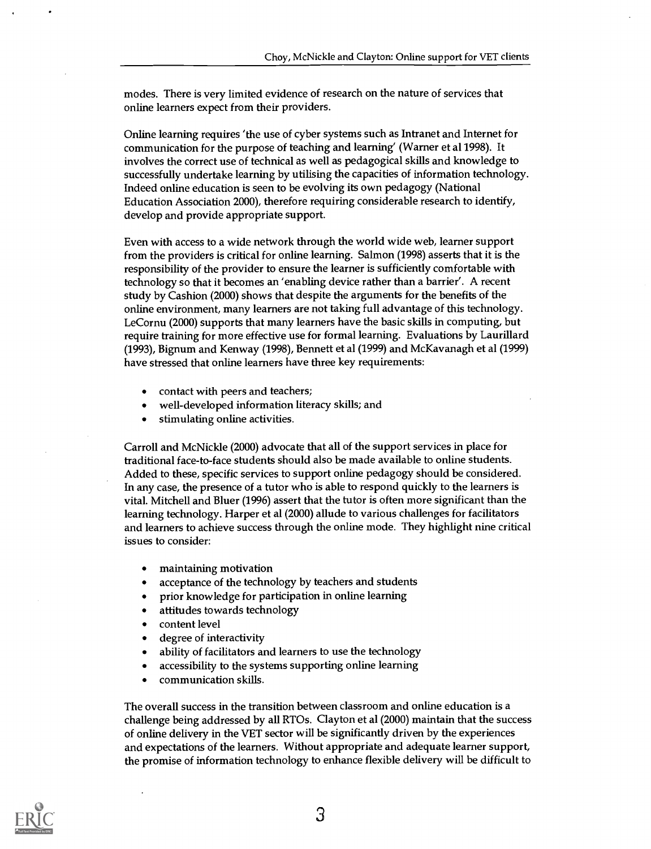modes. There is very limited evidence of research on the nature of services that online learners expect from their providers.

Online learning requires 'the use of cyber systems such as Intranet and Internet for communication for the purpose of teaching and learning' (Warner et al 1998). It involves the correct use of technical as well as pedagogical skills and knowledge to successfully undertake learning by utilising the capacities of information technology. Indeed online education is seen to be evolving its own pedagogy (National Education Association 2000), therefore requiring considerable research to identify, develop and provide appropriate support.

Even with access to a wide network through the world wide web, learner support from the providers is critical for online learning. Salmon (1998) asserts that it is the responsibility of the provider to ensure the learner is sufficiently comfortable with technology so that it becomes an 'enabling device rather than a barrier'. A recent study by Cashion (2000) shows that despite the arguments for the benefits of the online environment, many learners are not taking full advantage of this technology. LeCornu (2000) supports that many learners have the basic skills in computing, but require training for more effective use for formal learning. Evaluations by Laurillard (1993), Bignum and Kenway (1998), Bennett et al (1999) and McKavanagh et al (1999) have stressed that online learners have three key requirements:

- contact with peers and teachers;
- well-developed information literacy skills; and
- stimulating online activities.

Carroll and McNickle (2000) advocate that all of the support services in place for traditional face-to-face students should also be made available to online students. Added to these, specific services to support online pedagogy should be considered. In any case, the presence of a tutor who is able to respond quickly to the learners is vital. Mitchell and Bluer (1996) assert that the tutor is often more significant than the learning technology. Harper et al (2000) allude to various challenges for facilitators and learners to achieve success through the online mode. They highlight nine critical issues to consider:

- maintaining motivation
- acceptance of the technology by teachers and students
- prior knowledge for participation in online learning
- attitudes towards technology
- content level
- degree of interactivity
- ability of facilitators and learners to use the technology
- accessibility to the systems supporting online learning
- communication skills.

The overall success in the transition between classroom and online education is a challenge being addressed by all RTOs. Clayton et al (2000) maintain that the success of online delivery in the VET sector will be significantly driven by the experiences and expectations of the learners. Without appropriate and adequate learner support, the promise of information technology to enhance flexible delivery will be difficult to

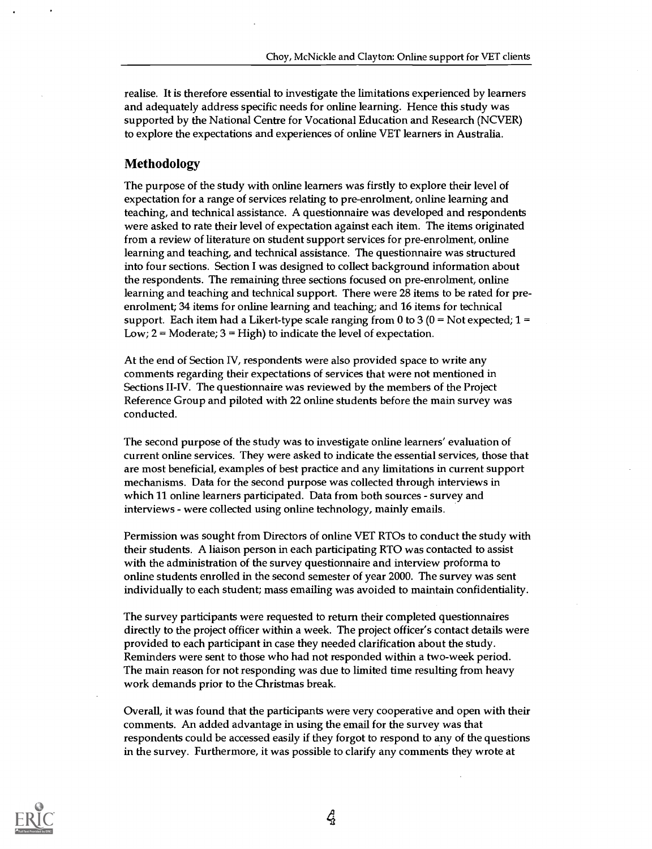realise. It is therefore essential to investigate the limitations experienced by learners and adequately address specific needs for online learning. Hence this study was supported by the National Centre for Vocational Education and Research (NCVER) to explore the expectations and experiences of online VET learners in Australia.

### Methodology

The purpose of the study with online learners was firstly to explore their level of expectation for a range of services relating to pre-enrolment, online learning and teaching, and technical assistance. A questionnaire was developed and respondents were asked to rate their level of expectation against each item. The items originated from a review of literature on student support services for pre-enrolment, online learning and teaching, and technical assistance. The questionnaire was structured into four sections. Section I was designed to collect background information about the respondents. The remaining three sections focused on pre-enrolment, online learning and teaching and technical support. There were 28 items to be rated for preenrolment; 34 items for online learning and teaching; and 16 items for technical support. Each item had a Likert-type scale ranging from 0 to 3  $(0 = Not$  expected;  $1 =$ Low;  $2 =$  Moderate;  $3 =$  High) to indicate the level of expectation.

At the end of Section IV, respondents were also provided space to write any comments regarding their expectations of services that were not mentioned in Sections II-IV. The questionnaire was reviewed by the members of the Project Reference Group and piloted with 22 online students before the main survey was conducted.

The second purpose of the study was to investigate online learners' evaluation of current online services. They were asked to indicate the essential services, those that are most beneficial, examples of best practice and any limitations in current support mechanisms. Data for the second purpose was collected through interviews in which 11 online learners participated. Data from both sources - survey and interviews - were collected using online technology, mainly emails.

Permission was sought from Directors of online VET RTOs to conduct the study with their students. A liaison person in each participating RTO was contacted to assist with the administration of the survey questionnaire and interview proforma to online students enrolled in the second semester of year 2000. The survey was sent individually to each student; mass emailing was avoided to maintain confidentiality.

The survey participants were requested to return their completed questionnaires directly to the project officer within a week. The project officer's contact details were provided to each participant in case they needed clarification about the study. Reminders were sent to those who had not responded within a two-week period. The main reason for not responding was due to limited time resulting from heavy work demands prior to the Christmas break.

Overall, it was found that the participants were very cooperative and open with their comments. An added advantage in using the email for the survey was that respondents could be accessed easily if they forgot to respond to any of the questions in the survey. Furthermore, it was possible to clarify any comments they wrote at

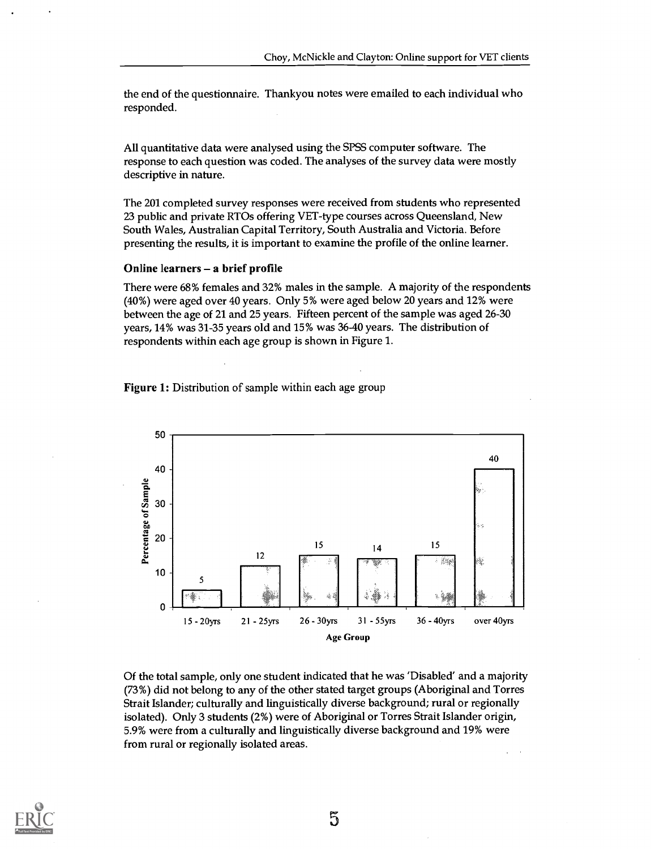the end of the questionnaire. Thankyou notes were emailed to each individual who responded.

All quantitative data were analysed using the SPSS computer software. The response to each question was coded. The analyses of the survey data were mostly descriptive in nature.

The 201 completed survey responses were received from students who represented 23 public and private RTOs offering VET-type courses across Queensland, New South Wales, Australian Capital Territory, South Australia and Victoria. Before presenting the results, it is important to examine the profile of the online learner.

#### Online learners - a brief profile

There were 68% females and 32% males in the sample. A majority of the respondents (40%) were aged over 40 years. Only 5% were aged below 20 years and 12% were between the age of 21 and 25 years. Fifteen percent of the sample was aged 26-30 years, 14% was 31-35 years old and 15% was 36-40 years. The distribution of respondents within each age group is shown in Figure 1.

Figure 1: Distribution of sample within each age group



Of the total sample, only one student indicated that he was 'Disabled' and a majority (73%) did not belong to any of the other stated target groups (Aboriginal and Torres Strait Islander; culturally and linguistically diverse background; rural or regionally isolated). Only 3 students (2%) were of Aboriginal or Torres Strait Islander origin, 5.9% were from a culturally and linguistically diverse background and 19% were from rural or regionally isolated areas.

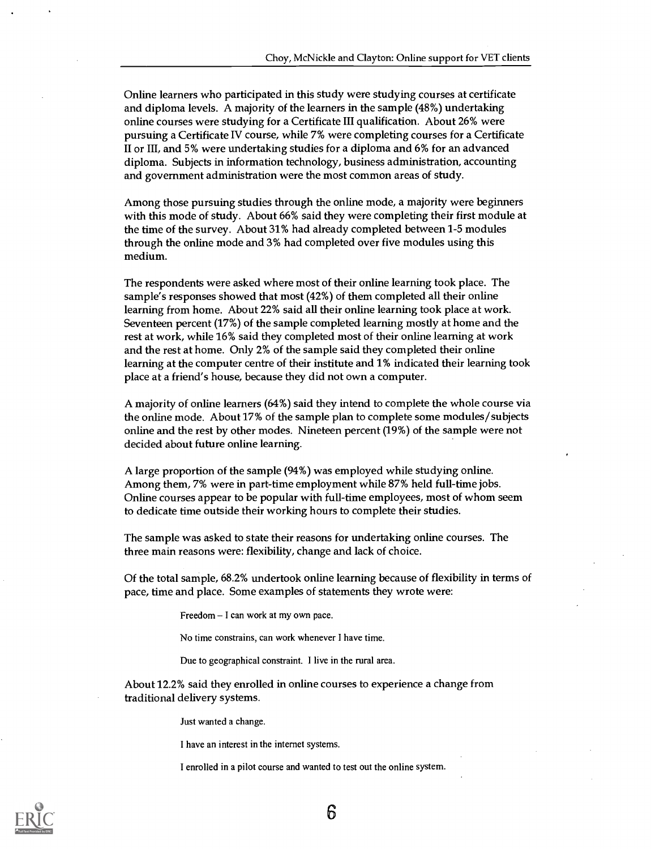Online learners who participated in this study were studying courses at certificate and diploma levels. A majority of the learners in the sample (48%) undertaking online courses were studying for a Certificate III qualification. About 26% were pursuing a Certificate IV course, while 7% were completing courses for a Certificate II or III, and 5% were undertaking studies for a diploma and 6% for an advanced diploma. Subjects in information technology, business administration, accounting and government administration were the most common areas of study.

Among those pursuing studies through the online mode, a majority were beginners with this mode of study. About 66% said they were completing their first module at the time of the survey. About 31% had already completed between 1-5 modules through the online mode and 3% had completed over five modules using this medium.

The respondents were asked where most of their online learning took place. The sample's responses showed that most (42%) of them completed all their online learning from home. About 22% said all their online learning took place at work. Seventeen percent (17%) of the sample completed learning mostly at home and the rest at work, while 16% said they completed most of their online learning at work and the rest at home. Only 2% of the sample said they completed their online learning at the computer centre of their institute and 1% indicated their learning took place at a friend's house, because they did not own a computer.

A majority of online learners (64%) said they intend to complete the whole course via the online mode. About 17% of the sample plan to complete some modules/subjects online and the rest by other modes. Nineteen percent (19%) of the sample were not decided about future online learning.

A large proportion of the sample (94%) was employed while studying online. Among them, 7% were in part-time employment while 87% held full-time jobs. Online courses appear to be popular with full-time employees, most of whom seem to dedicate time outside their working hours to complete their studies.

The sample was asked to state their reasons for undertaking online courses. The three main reasons were: flexibility, change and lack of choice.

Of the total sample, 68.2% undertook online learning because of flexibility in terms of pace, time and place. Some examples of statements they wrote were:

Freedom - I can work at my own pace.

No time constrains, can work whenever I have time.

Due to geographical constraint. I live in the rural area.

About 12.2% said they enrolled in online courses to experience a change from traditional delivery systems.

Just wanted a change.

I have an interest in the internet systems.

I enrolled in a pilot course and wanted to test out the online system.

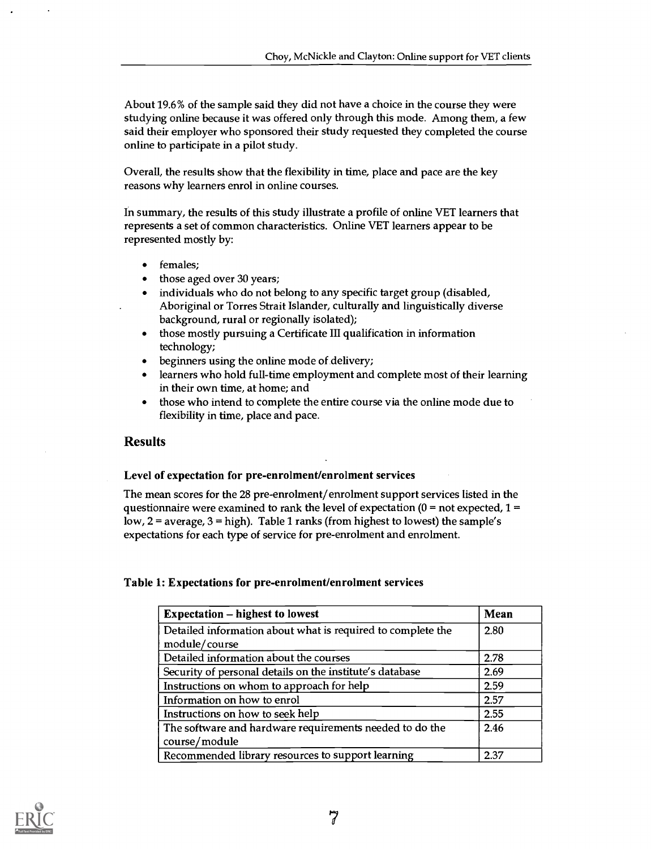About 19.6% of the sample said they did not have a choice in the course they were studying online because it was offered only through this mode. Among them, a few said their employer who sponsored their study requested they completed the course online to participate in a pilot study.

Overall, the results show that the flexibility in time, place and pace are the key reasons why learners enrol in online courses.

In summary, the results of this study illustrate a profile of online VET learners that represents a set of common characteristics. Online VET learners appear to be represented mostly by:

- females;
- those aged over 30 years;
- individuals who do not belong to any specific target group (disabled, Aboriginal or Torres Strait Islander, culturally and linguistically diverse background, rural or regionally isolated);
- those mostly pursuing a Certificate III qualification in information technology;
- beginners using the online mode of delivery;
- learners who hold full-time employment and complete most of their learning in their own time, at home; and
- those who intend to complete the entire course via the online mode due to flexibility in time, place and pace.

## Results

#### Level of expectation for pre-enrolment/enrolment services

The mean scores for the 28 pre-enrolment/enrolment support services listed in the questionnaire were examined to rank the level of expectation ( $0 =$  not expected,  $1 =$ low, 2 = average, 3 = high). Table 1 ranks (from highest to lowest) the sample's expectations for each type of service for pre-enrolment and enrolment.

#### Table 1: Expectations for pre-enrolment/enrolment services

| <b>Expectation – highest to lowest</b>                      | Mean |
|-------------------------------------------------------------|------|
| Detailed information about what is required to complete the | 2.80 |
| module/course                                               |      |
| Detailed information about the courses                      | 2.78 |
| Security of personal details on the institute's database    | 2.69 |
| Instructions on whom to approach for help                   | 2.59 |
| Information on how to enrol                                 | 2.57 |
| Instructions on how to seek help                            | 2.55 |
| The software and hardware requirements needed to do the     | 2.46 |
| course/module                                               |      |
| Recommended library resources to support learning           | 2.37 |

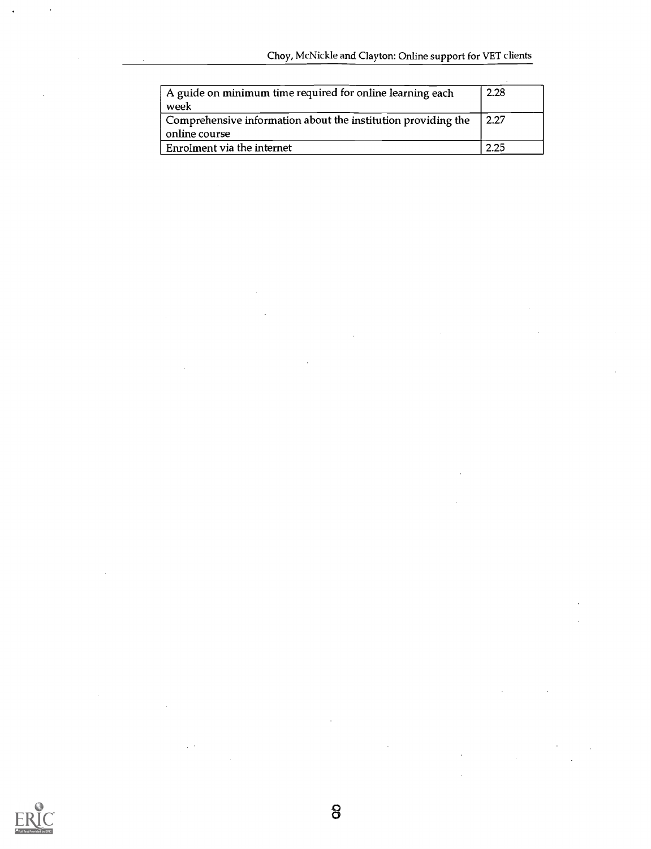| A guide on minimum time required for online learning each<br>week | 2.28 |
|-------------------------------------------------------------------|------|
| Comprehensive information about the institution providing the     | 2.27 |
| online course                                                     |      |
| Enrolment via the internet                                        | 2.25 |



J.

 $\chi \rightarrow 0$ 

 $\ddot{\phantom{0}}$ 

 $\bar{z}$ 

 $\ddot{\phantom{0}}$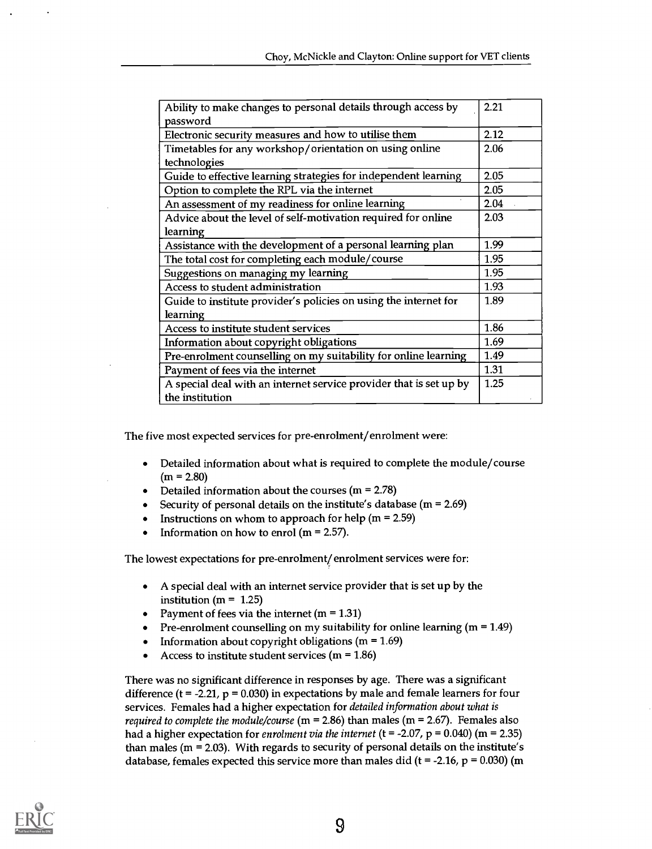| Ability to make changes to personal details through access by                         | 2.21 |
|---------------------------------------------------------------------------------------|------|
| password                                                                              |      |
| Electronic security measures and how to utilise them                                  | 2.12 |
| Timetables for any workshop/orientation on using online                               | 2.06 |
| technologies                                                                          |      |
| Guide to effective learning strategies for independent learning                       | 2.05 |
| Option to complete the RPL via the internet                                           | 2.05 |
| An assessment of my readiness for online learning                                     | 2.04 |
| Advice about the level of self-motivation required for online                         | 2.03 |
| learning                                                                              |      |
| Assistance with the development of a personal learning plan                           | 1.99 |
| The total cost for completing each module/course                                      | 1.95 |
| Suggestions on managing my learning                                                   | 1.95 |
| Access to student administration                                                      | 1.93 |
| Guide to institute provider's policies on using the internet for                      | 1.89 |
| learning                                                                              |      |
| Access to institute student services                                                  | 1.86 |
| Information about copyright obligations                                               | 1.69 |
| Pre-enrolment counselling on my suitability for online learning                       | 1.49 |
| Payment of fees via the internet                                                      | 1.31 |
| A special deal with an internet service provider that is set up by<br>the institution | 1.25 |

The five most expected services for pre-enrolment/enrolment were:

- Detailed information about what is required to complete the module/course  $\bullet$  $(m = 2.80)$
- Detailed information about the courses  $(m = 2.78)$
- Security of personal details on the institute's database  $(m = 2.69)$
- Instructions on whom to approach for help ( $m = 2.59$ )
- Information on how to enrol ( $m = 2.57$ ).  $\bullet$

The lowest expectations for pre-enrolment/enrolment services were for:

- A special deal with an internet service provider that is set up by the institution ( $m = 1.25$ )
- Payment of fees via the internet  $(m = 1.31)$
- Pre-enrolment counselling on my suitability for online learning  $(m = 1.49)$
- Information about copyright obligations ( $m = 1.69$ )  $\bullet$
- Access to institute student services ( $m = 1.86$ )

There was no significant difference in responses by age. There was a significant difference ( $t = -2.21$ ,  $p = 0.030$ ) in expectations by male and female learners for four services. Females had a higher expectation for detailed information about what is *required to complete the module/course* ( $m = 2.86$ ) than males ( $m = 2.67$ ). Females also had a higher expectation for enrolment via the internet (t = -2.07, p = 0.040) (m = 2.35) than males ( $m = 2.03$ ). With regards to security of personal details on the institute's database, females expected this service more than males did ( $t = -2.16$ ,  $p = 0.030$ ) (m

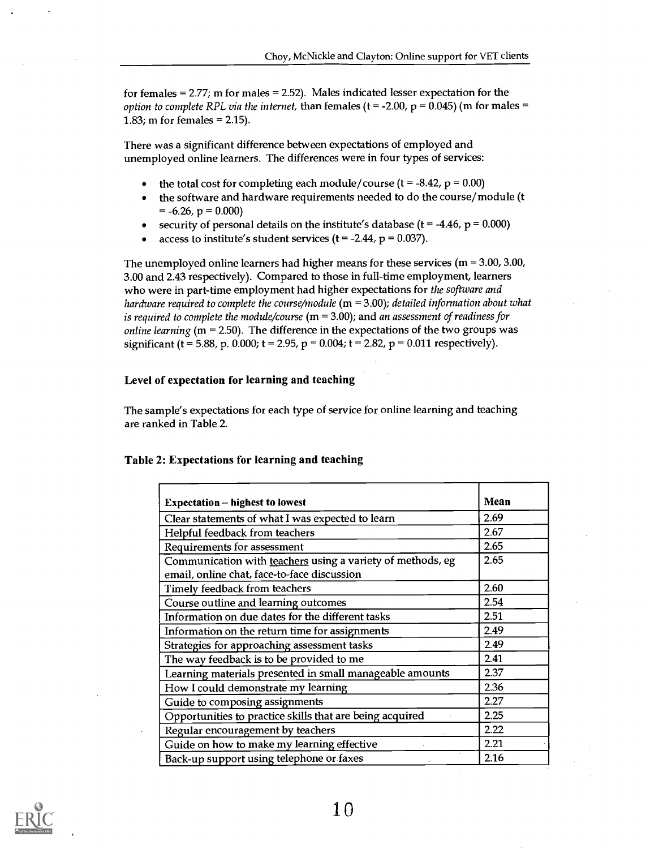for females = 2.77; m for males = 2.52). Males indicated lesser expectation for the option to complete RPL via the internet, than females (t = -2.00, p = 0.045) (m for males = 1.83; m for females = 2.15).

There was a significant difference between expectations of employed and unemployed online learners. The differences were in four types of services:

- the total cost for completing each module/course ( $t = -8.42$ ,  $p = 0.00$ )
- the software and hardware requirements needed to do the course/module (t  $\bullet$  $= -6.26$ ,  $p = 0.000$
- security of personal details on the institute's database ( $t = -4.46$ ,  $p = 0.000$ )
- access to institute's student services ( $t = -2.44$ ,  $p = 0.037$ ).

The unemployed online learners had higher means for these services ( $m = 3.00, 3.00$ , 3.00 and 2.43 respectively). Compared to those in full-time employment, learners who were in part-time employment had higher expectations for the software and hardware required to complete the course/module  $(m = 3.00)$ ; detailed information about what is required to complete the module/course  $(m = 3.00)$ ; and an assessment of readiness for *online learning* ( $m = 2.50$ ). The difference in the expectations of the two groups was significant (t = 5.88, p. 0.000; t = 2.95, p = 0.004; t = 2.82, p = 0.011 respectively).

#### Level of expectation for learning and teaching

The sample's expectations for each type of service for online learning and teaching are ranked in Table 2.

#### Table 2: Expectations for learning and teaching

| <b>Expectation – highest to lowest</b>                                                                    | Mean |
|-----------------------------------------------------------------------------------------------------------|------|
| Clear statements of what I was expected to learn                                                          | 2.69 |
| Helpful feedback from teachers                                                                            | 2.67 |
| Requirements for assessment                                                                               | 2.65 |
| Communication with teachers using a variety of methods, eg<br>email, online chat, face-to-face discussion | 2.65 |
| Timely feedback from teachers                                                                             | 2.60 |
| Course outline and learning outcomes                                                                      | 2.54 |
| Information on due dates for the different tasks                                                          | 2.51 |
| Information on the return time for assignments                                                            | 2.49 |
| Strategies for approaching assessment tasks                                                               | 2.49 |
| The way feedback is to be provided to me                                                                  | 2.41 |
| Learning materials presented in small manageable amounts                                                  | 2.37 |
| How I could demonstrate my learning                                                                       | 2.36 |
| Guide to composing assignments                                                                            | 2.27 |
| Opportunities to practice skills that are being acquired                                                  | 2.25 |
| Regular encouragement by teachers                                                                         | 2.22 |
| Guide on how to make my learning effective                                                                | 2.21 |
| Back-up support using telephone or faxes                                                                  | 2.16 |

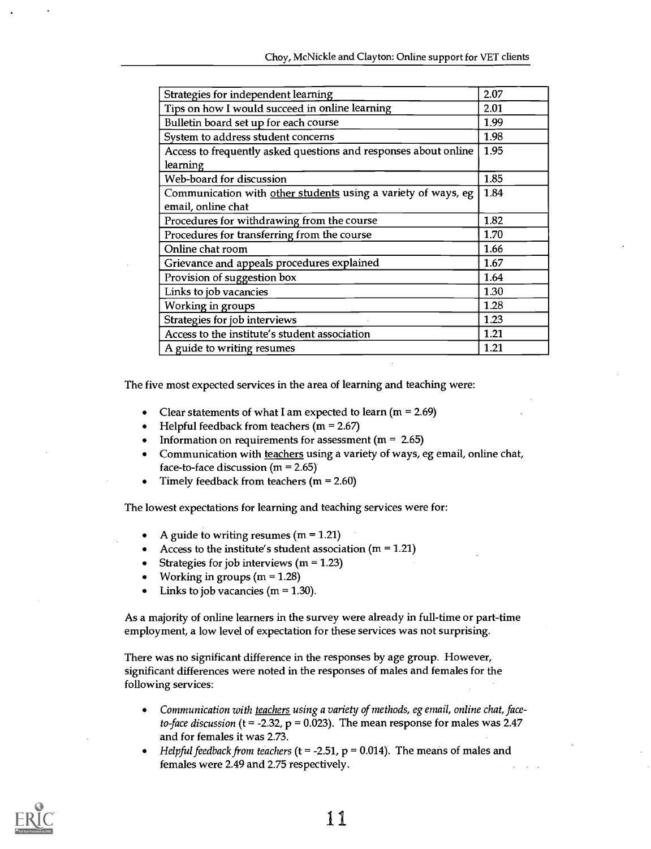| Strategies for independent learning                             | 2.07 |
|-----------------------------------------------------------------|------|
| Tips on how I would succeed in online learning                  | 2.01 |
| Bulletin board set up for each course                           | 1.99 |
| System to address student concerns                              | 1.98 |
| Access to frequently asked questions and responses about online | 1.95 |
| learning                                                        |      |
| Web-board for discussion                                        | 1.85 |
| Communication with other students using a variety of ways, eg   | 1.84 |
| email, online chat                                              |      |
| Procedures for withdrawing from the course                      | 1.82 |
| Procedures for transferring from the course                     | 1.70 |
| Online chat room                                                | 1.66 |
| Grievance and appeals procedures explained                      | 1.67 |
| Provision of suggestion box                                     | 1.64 |
| Links to job vacancies                                          | 1.30 |
| Working in groups                                               | 1.28 |
| Strategies for job interviews                                   | 1.23 |
| Access to the institute's student association                   | 1.21 |
| A guide to writing resumes                                      | 1.21 |

The five most expected services in the area of learning and teaching were:

- Clear statements of what I am expected to learn ( $m = 2.69$ )
- Helpful feedback from teachers ( $m = 2.67$ )
- Information on requirements for assessment ( $m = 2.65$ )
- Communication with teachers using a variety of ways, eg email, online chat, face-to-face discussion  $(m = 2.65)$
- Timely feedback from teachers ( $m = 2.60$ )

The lowest expectations for learning and teaching services were for:

- A guide to writing resumes ( $m = 1.21$ )
- Access to the institute's student association ( $m = 1.21$ )
- Strategies for job interviews (m = 1.23)
- Working in groups ( $m = 1.28$ )
- Links to job vacancies ( $m = 1.30$ ).

As a majority of online learners in the survey were already in full-iime or part-time employment, a low level of expectation for these services was not surprising.

There was no significant difference in the responses by age group. However, significant differences were noted in the responses of males and females for the following services:

- Communication with teachers using a variety of methods, eg email, online chat, face- $\bullet$ to-face discussion (t = -2.32,  $p = 0.023$ ). The mean response for males was 2.47 and for females it was 2.73.
- Helpful feedback from teachers (t = -2.51,  $p = 0.014$ ). The means of males and females were 2.49 and 2.75 respectively.

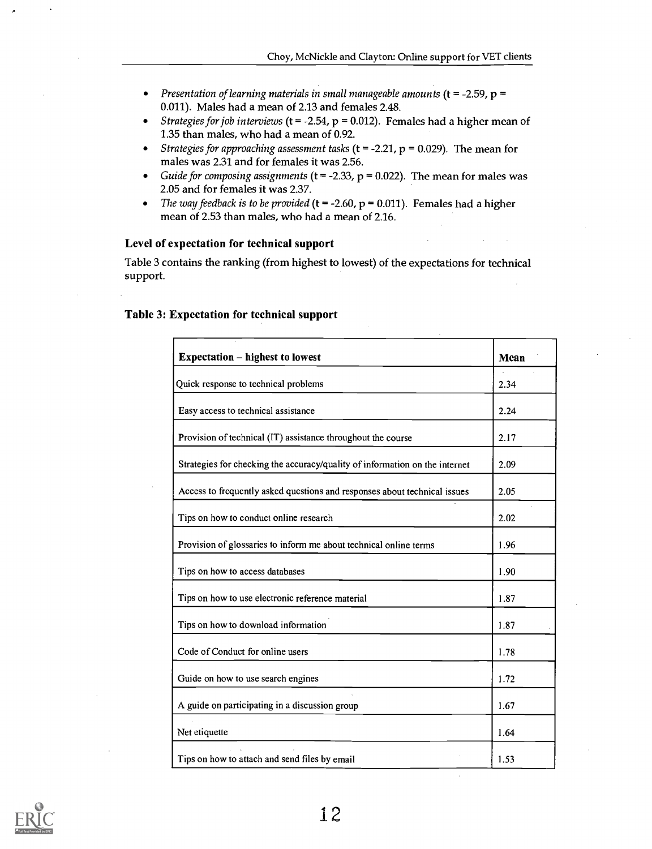- Presentation of learning materials in small manageable amounts ( $t = -2.59$ ,  $p =$ 0.011). Males had a mean of 2.13 and females 2.48.
- Strategies for job interviews (t = -2.54,  $p = 0.012$ ). Females had a higher mean of 1.35 than males, who had a mean of 0.92.
- Strategies for approaching assessment tasks ( $t = -2.21$ ,  $p = 0.029$ ). The mean for  $\bullet$ males was 2.31 and for females it was 2.56.
- $\bullet$ Guide for composing assignments ( $t = -2.33$ ,  $p = 0.022$ ). The mean for males was 2.05 and for females it was 2.37.
- The way feedback is to be provided ( $t = -2.60$ ,  $p = 0.011$ ). Females had a higher  $\bullet$ mean of 2.53 than males, who had a mean of 2.16.

#### Level of expectation for technical support

Table 3 contains the ranking (from highest to lowest) of the expectations for technical support.

| <b>Expectation – highest to lowest</b>                                      | Mean |
|-----------------------------------------------------------------------------|------|
| Quick response to technical problems                                        | 2.34 |
| Easy access to technical assistance                                         | 2.24 |
| Provision of technical (IT) assistance throughout the course                | 2.17 |
| Strategies for checking the accuracy/quality of information on the internet | 2.09 |
| Access to frequently asked questions and responses about technical issues   | 2.05 |
| Tips on how to conduct online research                                      | 2.02 |
| Provision of glossaries to inform me about technical online terms           | 1.96 |
| Tips on how to access databases                                             | 1.90 |
| Tips on how to use electronic reference material                            | 1.87 |
| Tips on how to download information                                         | 1.87 |
| Code of Conduct for online users                                            | 1.78 |
| Guide on how to use search engines                                          | 1.72 |
| A guide on participating in a discussion group                              | 1.67 |
| Net etiquette                                                               | 1.64 |
| Tips on how to attach and send files by email                               | 1.53 |

#### Table 3: Expectation for technical support

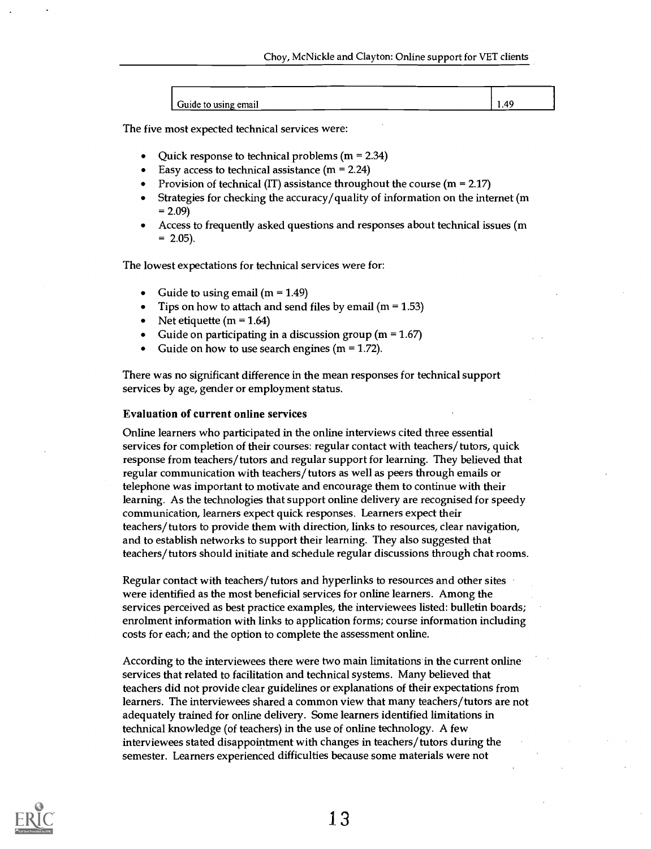| Guide to using email | лι |
|----------------------|----|

The five most expected technical services were:

- Quick response to technical problems  $(m = 2.34)$
- Easy access to technical assistance  $(m = 2.24)$
- Provision of technical (IT) assistance throughout the course  $(m = 2.17)$
- Strategies for checking the accuracy/quality of information on the internet (m  $= 2.09$
- Access to frequently asked questions and responses about technical issues (m  $= 2.05$ ).

The lowest expectations for technical services were for:

- Guide to using email  $(m = 1.49)$
- Tips on how to attach and send files by email  $(m = 1.53)$
- Net etiquette (m =  $1.64$ )
- Guide on participating in a discussion group ( $m = 1.67$ )
- Guide on how to use search engines ( $m = 1.72$ ).

There was no significant difference in the mean responses for technical support services by age, gender or employment status.

#### Evaluation of current online services

Online learners who participated in the online interviews cited three essential services for completion of their courses: regular contact with teachers/tutors, quick response from teachers/tutors and regular support for learning. They believed that regular communication with teachers/tutors as well as peers through emails or telephone was important to motivate and encourage them to continue with their learning. As the technologies that support online delivery are recognised for speedy communication, learners expect quick responses. Learners expect their teachers/tutors to provide them with direction, links to resources, clear navigation, and to establish networks to support their learning. They also suggested that teachers/tutors should initiate and schedule regular discussions through chat rooms.

Regular contact with teachers/tutors and hyperlinks to resources and other sites were identified as the most beneficial services for online learners. Among the services perceived as best practice examples, the interviewees listed: bulletin boards; enrolment information with links to application forms; course information including costs for each; and the option to complete the assessment online.

According to the interviewees there were two main limitations in the current online services that related to facilitation and technical systems. Many believed that teachers did not provide clear guidelines or explanations of their expectations from learners. The interviewees shared a common view that many teachers/tutors are not adequately trained for online delivery. Some learners identified limitations in technical knowledge (of teachers) in the use of online technology. A few interviewees stated disappointment with changes in teachers/tutors during the semester. Learners experienced difficulties because some materials were not

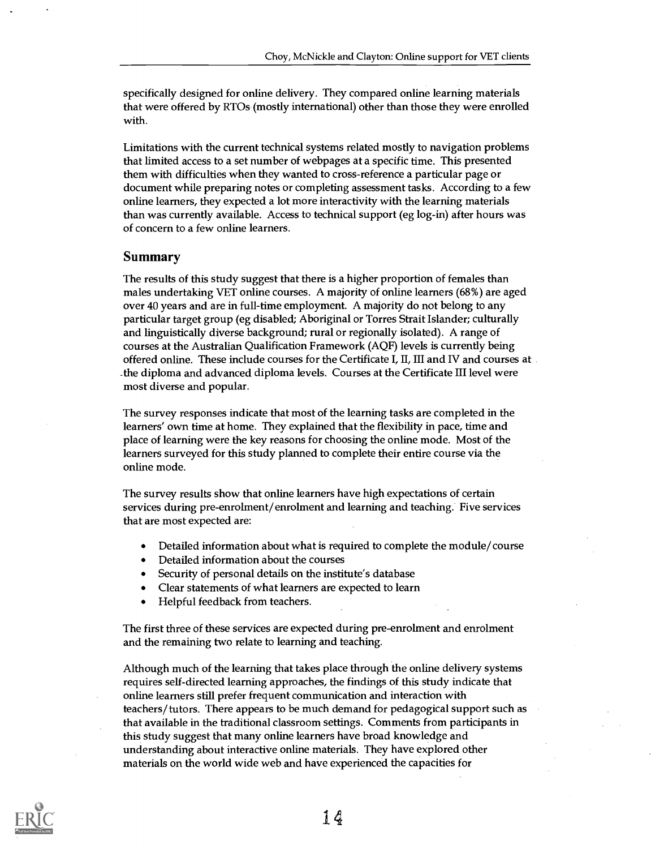specifically designed for online delivery. They compared online learning materials that were offered by RTOs (mostly international) other than those they were enrolled with.

Limitations with the current technical systems related mostly to navigation problems that limited access to a set number of webpages at a specific time. This presented them with difficulties when they wanted to cross-reference a particular page or document while preparing notes or completing assessment tasks. According to a few online learners, they expected a lot more interactivity with the learning materials than was currently available. Access to technical support (eg log-in) after hours was of concern to a few online learners.

#### Summary

The results of this study suggest that there is a higher proportion of females than males undertaking VET online courses. A majority of online learners (68%) are aged over 40 years and are in full-time employment. A majority do not belong to any particular target group (eg disabled; Aboriginal or Torres Strait Islander; culturally and linguistically diverse background; rural or regionally isolated). A range of courses at the Australian Qualification Framework (AQF) levels is currently being offered online. These include courses for the Certificate I, II, III and IV and courses at \_the diploma and advanced diploma levels. Courses at the Certificate III level were most diverse and popular.

The survey responses indicate that most of the learning tasks are completed in the learners' own time at home. They explained that the flexibility in pace, time and place of learning were the key reasons for choosing the online mode. Most of the learners surveyed for this study planned to complete their entire course via the online mode.

The survey results show that online learners have high expectations of certain services during pre-enrolment/enrolment and learning and teaching. Five services that are most expected are:

- Detailed information about what is required to complete the module/course
- Detailed information about the courses
- Security of personal details on the institute's database
- Clear statements of what learners are expected to learn
- Helpful feedback from teachers.

The first three of these services are expected during pre-enrolment and enrolment and the remaining two relate to learning and teaching.

Although much of the learning that takes place through the online delivery systems requires self-directed learning approaches, the findings of this study indicate that online learners still prefer frequent communication and interaction with teachers/tutors. There appears to be much demand for pedagogical support such as that available in the traditional classroom settings. Comments from participants in this study suggest that many online learners have broad knowledge and understanding about interactive online materials. They have explored other materials on the world wide web and have experienced the capacities for

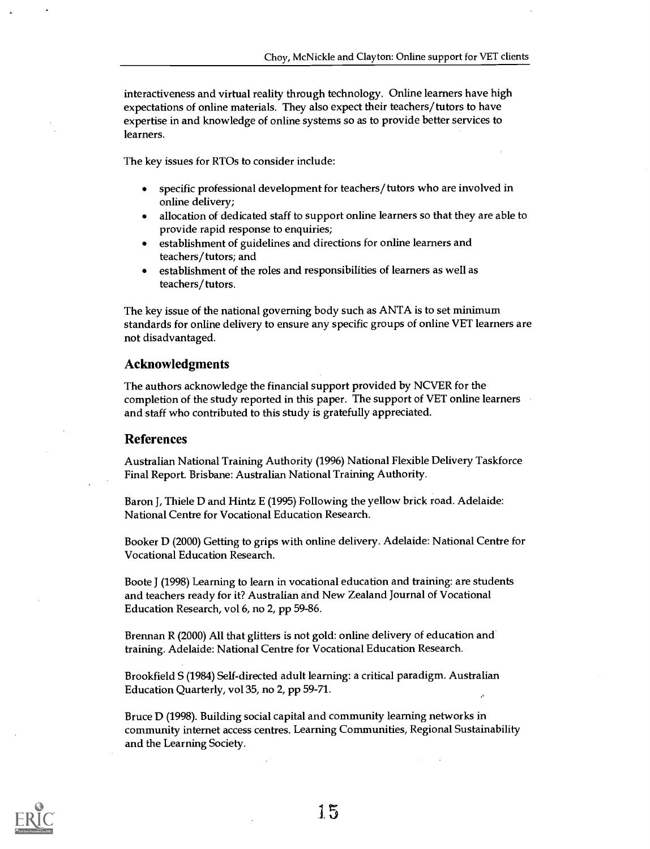interactiveness and virtual reality through technology. Online learners have high expectations of online materials. They also expect their teachers/tutors to have expertise in and knowledge of online systems so as to provide better services to learners.

The key issues for RTOs to consider include:

- specific professional development for teachers/tutors who are involved in  $\bullet$ online delivery;
- allocation of dedicated staff to support online learners so that they are able to provide rapid response to enquiries;
- establishment of guidelines and directions for online learners and teachers/tutors; and
- establishment of the roles and responsibilities of learners as well as teachers/ tutors.

The key issue of the national governing body such as ANTA is to set minimum standards for online delivery to ensure any specific groups of online VET learners are not disadvantaged.

#### Acknowledgments

The authors acknowledge the financial support provided by NCVER for the completion of the study reported in this paper. The support of VET online learners and staff who contributed to this study is gratefully appreciated.

#### References

Australian National Training Authority (1996) National Flexible Delivery Taskforce Final Report. Brisbane: Australian National Training Authority.

Baron J, Thiele D and Hintz E (1995) Following the yellow brick road. Adelaide: National Centre for Vocational Education Research.

Booker D (2000) Getting to grips with online delivery. Adelaide: National Centre for Vocational Education Research.

Boote J (1998) Learning to learn in vocational education and training: are students and teachers ready for it? Australian and New Zealand Journal of Vocational Education Research, vol 6, no 2, pp 59-86.

Brennan R (2000) All that glitters is not gold: online delivery of education and training. Adelaide: National Centre for Vocational Education Research.

Brookfield S (1984) Self-directed adult learning: a critical paradigm. Australian Education Quarterly, vol 35, no 2, pp 59-71.

Bruce D (1998). Building social capital and community learning networks in community internet access centres. Learning Communities, Regional Sustainability and the Learning Society.

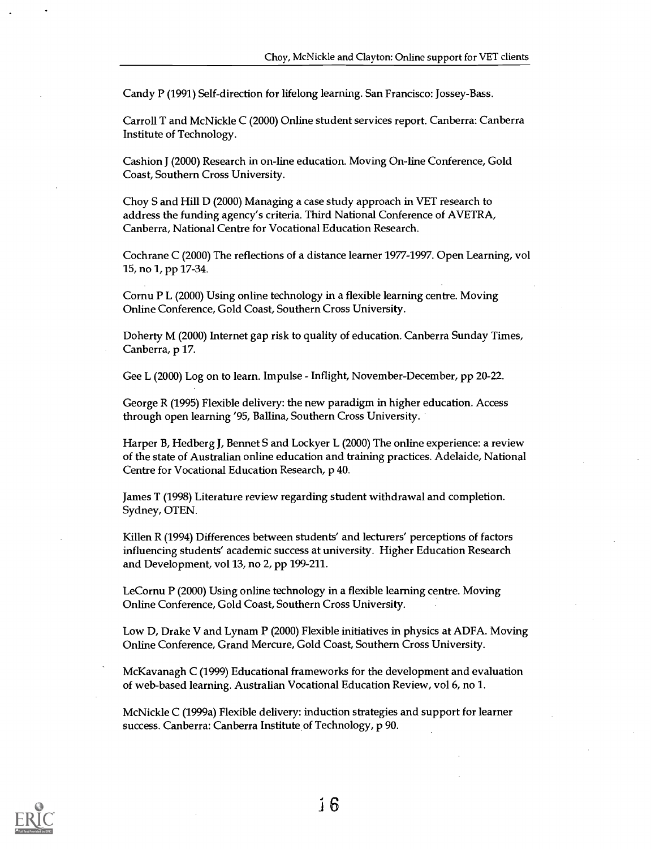Candy P (1991) Self-direction for lifelong learning. San Francisco: Jossey-Bass.

Carroll T and McNickle C (2000) Online student services report. Canberra: Canberra Institute of Technology.

Cashion J (2000) Research in on-line education. Moving On-line Conference, Gold Coast, Southern Cross University.

Choy S and Hill D (2000) Managing a case study approach in VET research to address the funding agency's criteria. Third National Conference of AVETRA, Canberra, National Centre for Vocational Education Research.

Cochrane C (2000) The reflections of a distance learner 1977-1997. Open Learning, vol 15, no 1, pp 17-34.

Cornu P L (2000) Using online technology in a flexible learning centre. Moving Online Conference, Gold Coast, Southern Cross University.

Doherty M (2000) Internet gap risk to quality of education. Canberra Sunday Times, Canberra, p 17.

Gee L (2000) Log on to learn. Impulse - Inflight, November-December, pp 20-22.

George R (1995) Flexible delivery: the new paradigm in higher education. Access through open learning '95, Ballina, Southern Cross University.

Harper B, Hedberg J, Bennet S and Lockyer L (2000) The online experience: a review of the state of Australian online education and training practices. Adelaide, National Centre for Vocational Education Research, p 40.

James T (1998) Literature review regarding student withdrawal and completion. Sydney, OTEN.

Killen R (1994) Differences between students' and lecturers' perceptions of factors influencing students' academic success at university. Higher Education Research and Development, vol 13, no 2, pp 199-211.

LeCornu P (2000) Using online technology in a flexible learning centre. Moving Online Conference, Gold Coast, Southern Cross University.

Low D, Drake V and Lynam P (2000) Flexible initiatives in physics at ADFA. Moving Online Conference, Grand Mercure, Gold Coast, Southern Cross University.

McKavanagh C (1999) Educational frameworks for the development and evaluation of web-based learning. Australian Vocational Education Review, vol 6, no 1.

McNickle C (1999a) Flexible delivery: induction strategies and support for learner success. Canberra: Canberra Institute of Technology, p 90.

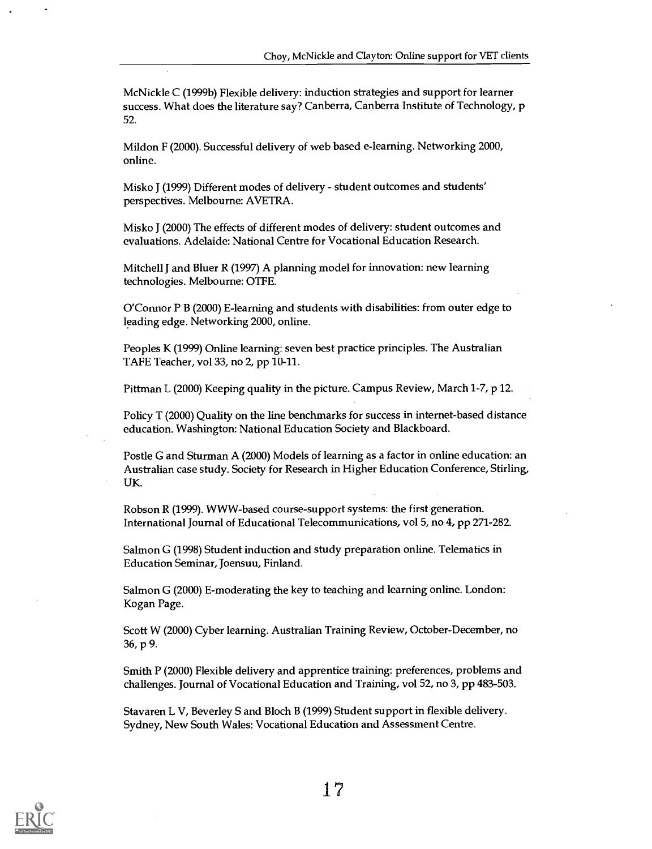McNickle C (1999b) Flexible delivery: induction strategies and support for learner success. What does the literature say? Canberra, Canberra Institute of Technology, p 52.

Mildon F (2000). Successful delivery of web based e-leaming. Networking 2000, online.

Misko 1 (1999) Different modes of delivery - student outcomes and students' perspectives. Melbourne: AVETRA.

Misko J (2000) The effects of different modes of delivery: student outcomes and evaluations. Adelaide: National Centre for Vocational Education Research.

Mitchell J and Bluer R (1997) A planning model for innovation: new learning technologies. Melbourne: OTFE.

O'Connor P B (2000) E-learning and students with disabilities: from outer edge to leading edge. Networking 2000, online.

Peoples K (1999) Online learning: seven best practice principles. The Australian TAFE Teacher, vol 33, no 2, pp 10-11.

Pittman L (2000) Keeping quality in the picture. Campus Review, March 1-7, p 12.

Policy T (2000) Quality on the line benchmarks for success in internet-based distance education. Washington: National Education Society and Blackboard.

Postle G and Sturman A (2000) Models of learning as a factor in online education: an Australian case study. Society for Research in Higher Education Conference, Stirling, UK.

Robson R (1999). WWW-based course-support systems: the first generation. International Journal of Educational Telecommunications, vol 5, no 4, pp 271-282.

Salmon G (1998) Student induction and study preparation online. Telematics in Education Seminar, Joensuu, Finland.

Salmon G (2000) E-moderating the key to teaching and learning online. London: Kogan Page.

Scott W (2000) Cyber learning. Australian Training Review, October-December, no 36, p 9.

Smith P (2000) Flexible delivery and apprentice training: preferences, problems and challenges. Journal of Vocational Education and Training, vol 52, no 3, pp 483-503.

Stavaren L V. Beverley S and Bloch B (1999) Student support in flexible delivery. Sydney, New South Wales: Vocational Education and Assessment Centre.

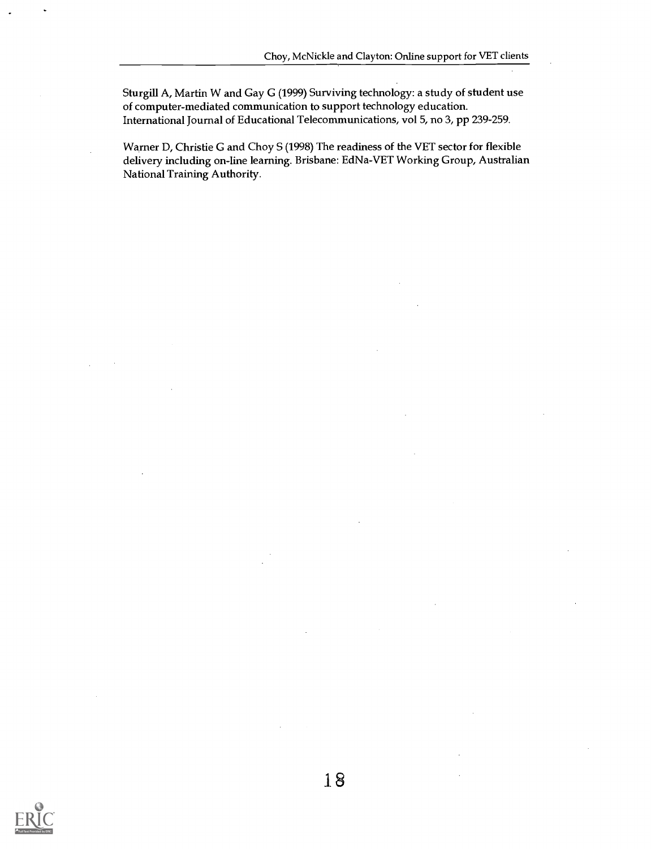Sturgill A, Martin W and Gay G (1999) Surviving technology: a study of student use of computer-mediated communication to support technology education. International Journal of Educational Telecommunications, vol 5, no 3, pp 239-259.

Warner D, Christie G and Choy S (1998) The readiness of the VET sector for flexible delivery including on-line learning. Brisbane: EdNa-VET Working Group, Australian National Training Authority.

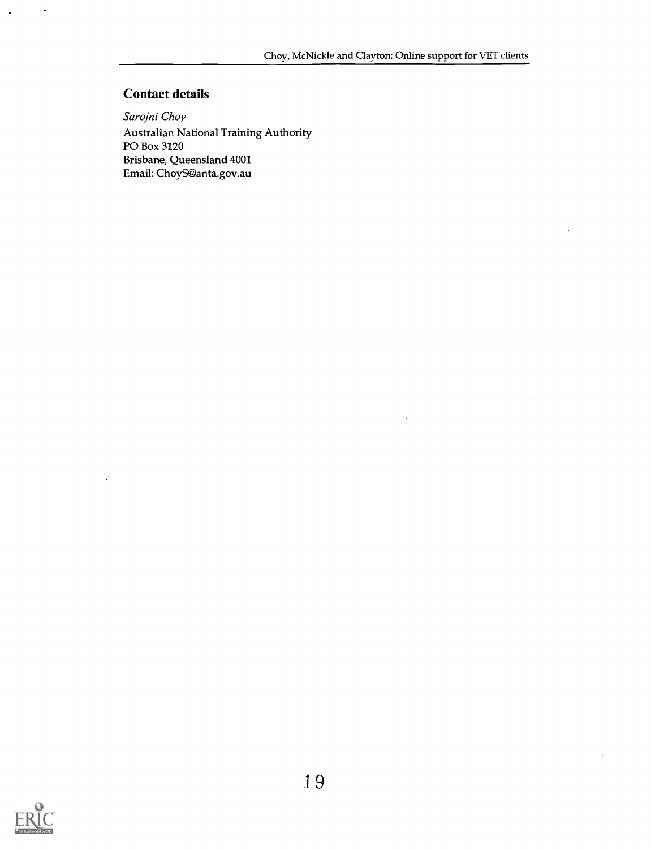# Contact details

 $\ddot{\phantom{0}}$ 

Sarojni Choy Australian National Training Authority PO Box 3120 Brisbane, Queensland 4001 Email: ChoyS@anta.gov.au



 $\bar{z}$